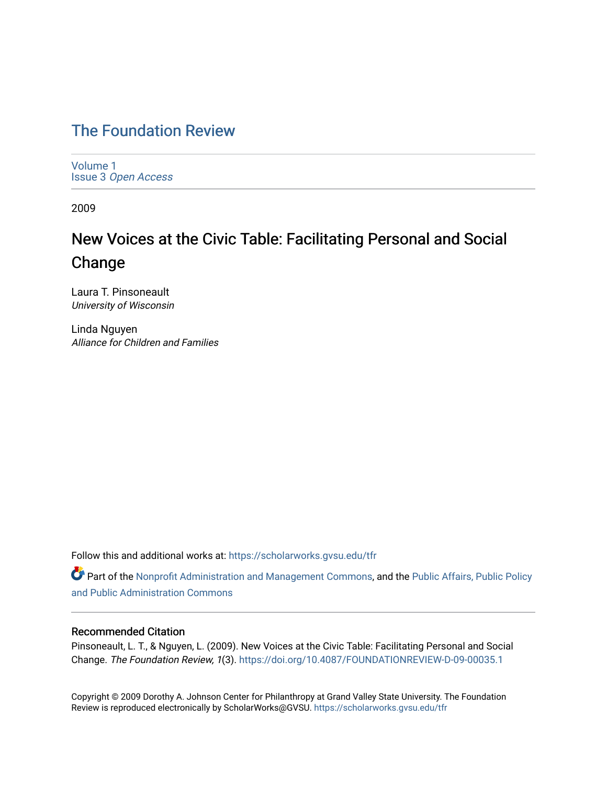# [The Foundation Review](https://scholarworks.gvsu.edu/tfr)

[Volume 1](https://scholarworks.gvsu.edu/tfr/vol1) Issue 3 [Open Access](https://scholarworks.gvsu.edu/tfr/vol1/iss3)

2009

# New Voices at the Civic Table: Facilitating Personal and Social Change

Laura T. Pinsoneault University of Wisconsin

Linda Nguyen Alliance for Children and Families

Follow this and additional works at: [https://scholarworks.gvsu.edu/tfr](https://scholarworks.gvsu.edu/tfr?utm_source=scholarworks.gvsu.edu%2Ftfr%2Fvol1%2Fiss3%2F6&utm_medium=PDF&utm_campaign=PDFCoverPages)

Part of the [Nonprofit Administration and Management Commons,](http://network.bepress.com/hgg/discipline/1228?utm_source=scholarworks.gvsu.edu%2Ftfr%2Fvol1%2Fiss3%2F6&utm_medium=PDF&utm_campaign=PDFCoverPages) and the Public Affairs, Public Policy [and Public Administration Commons](http://network.bepress.com/hgg/discipline/393?utm_source=scholarworks.gvsu.edu%2Ftfr%2Fvol1%2Fiss3%2F6&utm_medium=PDF&utm_campaign=PDFCoverPages) 

# Recommended Citation

Pinsoneault, L. T., & Nguyen, L. (2009). New Voices at the Civic Table: Facilitating Personal and Social Change. The Foundation Review, 1(3).<https://doi.org/10.4087/FOUNDATIONREVIEW-D-09-00035.1>

Copyright © 2009 Dorothy A. Johnson Center for Philanthropy at Grand Valley State University. The Foundation Review is reproduced electronically by ScholarWorks@GVSU.<https://scholarworks.gvsu.edu/tfr>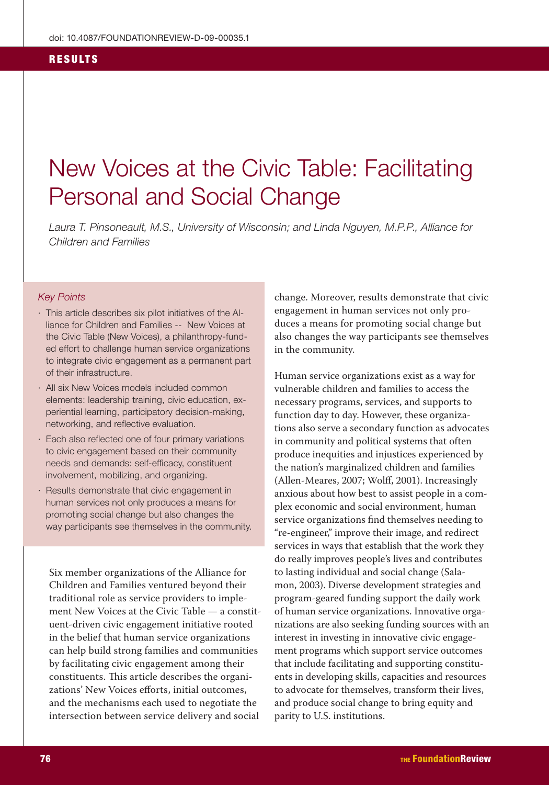#### **RESULTS**

# New Voices at the Civic Table: Facilitating **Personal and Social Change**

Laura T. Pinsoneault, M.S., University of Wisconsin; and Linda Nguyen, M.P.P., Alliance for Children and Families

#### **Key Points**

- · This article describes six pilot initiatives of the Alliance for Children and Families -- New Voices at the Civic Table (New Voices), a philanthropy-funded effort to challenge human service organizations to integrate civic engagement as a permanent part of their infrastructure.
- · All six New Voices models included common elements: leadership training, civic education, experiential learning, participatory decision-making, networking, and reflective evaluation.
- · Each also reflected one of four primary variations to civic engagement based on their community needs and demands: self-efficacy, constituent involvement, mobilizing, and organizing.
- · Results demonstrate that civic engagement in human services not only produces a means for promoting social change but also changes the way participants see themselves in the community.

Six member organizations of the Alliance for Children and Families ventured beyond their traditional role as service providers to implement New Voices at the Civic Table — a constituent-driven civic engagement initiative rooted in the belief that human service organizations can help build strong families and communities by facilitating civic engagement among their constituents. This article describes the organizations' New Voices efforts, initial outcomes, and the mechanisms each used to negotiate the intersection between service delivery and social

change. Moreover, results demonstrate that civic engagement in human services not only produces a means for promoting social change but also changes the way participants see themselves in the community.

Human service organizations exist as a way for vulnerable children and families to access the necessary programs, services, and supports to function day to day. However, these organizations also serve a secondary function as advocates in community and political systems that often produce inequities and injustices experienced by the nation's marginalized children and families (Allen-Meares, 2007; Wolff, 2001). Increasingly anxious about how best to assist people in a complex economic and social environment, human service organizations find themselves needing to "re-engineer," improve their image, and redirect services in ways that establish that the work they do really improves people's lives and contributes to lasting individual and social change (Salamon, 2003). Diverse development strategies and program-geared funding support the daily work of human service organizations. Innovative organizations are also seeking funding sources with an interest in investing in innovative civic engagement programs which support service outcomes that include facilitating and supporting constituents in developing skills, capacities and resources to advocate for themselves, transform their lives, and produce social change to bring equity and parity to U.S. institutions.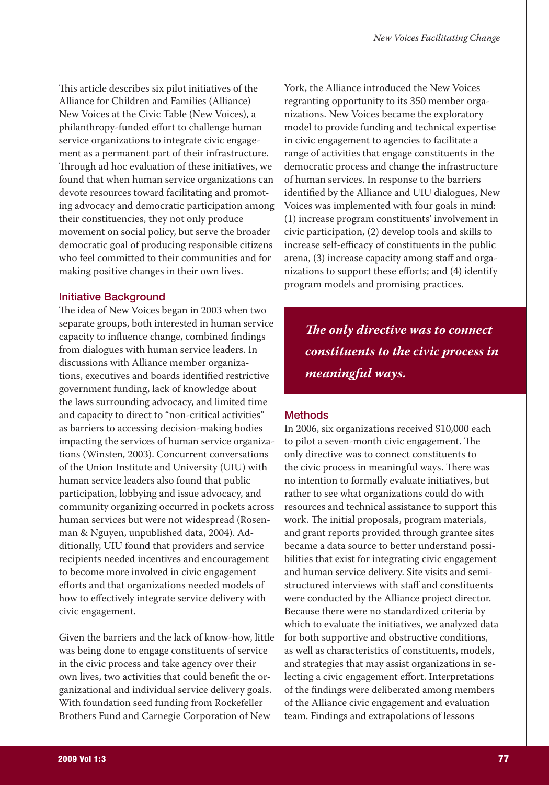This article describes six pilot initiatives of the Alliance for Children and Families (Alliance) New Voices at the Civic Table (New Voices), a philanthropy-funded effort to challenge human service organizations to integrate civic engagement as a permanent part of their infrastructure. Through ad hoc evaluation of these initiatives, we found that when human service organizations can devote resources toward facilitating and promoting advocacy and democratic participation among their constituencies, they not only produce movement on social policy, but serve the broader democratic goal of producing responsible citizens who feel committed to their communities and for making positive changes in their own lives.

# **Initiative Background**

The idea of New Voices began in 2003 when two separate groups, both interested in human service capacity to influence change, combined findings from dialogues with human service leaders. In discussions with Alliance member organizations, executives and boards identified restrictive government funding, lack of knowledge about the laws surrounding advocacy, and limited time and capacity to direct to "non-critical activities" as barriers to accessing decision-making bodies impacting the services of human service organizations (Winsten, 2003). Concurrent conversations of the Union Institute and University (UIU) with human service leaders also found that public participation, lobbying and issue advocacy, and community organizing occurred in pockets across human services but were not widespread (Rosenman & Nguyen, unpublished data, 2004). Additionally, UIU found that providers and service recipients needed incentives and encouragement to become more involved in civic engagement efforts and that organizations needed models of how to effectively integrate service delivery with civic engagement.

Given the barriers and the lack of know-how, little was being done to engage constituents of service in the civic process and take agency over their own lives, two activities that could benefit the organizational and individual service delivery goals. With foundation seed funding from Rockefeller Brothers Fund and Carnegie Corporation of New

York, the Alliance introduced the New Voices regranting opportunity to its 350 member organizations. New Voices became the exploratory model to provide funding and technical expertise in civic engagement to agencies to facilitate a range of activities that engage constituents in the democratic process and change the infrastructure of human services. In response to the barriers identified by the Alliance and UIU dialogues, New Voices was implemented with four goals in mind: (1) increase program constituents' involvement in civic participation, (2) develop tools and skills to increase self-efficacy of constituents in the public arena, (3) increase capacity among staff and organizations to support these efforts; and (4) identify program models and promising practices.

The only directive was to connect constituents to the civic process in meaningful ways.

# **Methods**

In 2006, six organizations received \$10,000 each to pilot a seven-month civic engagement. The only directive was to connect constituents to the civic process in meaningful ways. There was no intention to formally evaluate initiatives, but rather to see what organizations could do with resources and technical assistance to support this work. The initial proposals, program materials, and grant reports provided through grantee sites became a data source to better understand possibilities that exist for integrating civic engagement and human service delivery. Site visits and semistructured interviews with staff and constituents were conducted by the Alliance project director. Because there were no standardized criteria by which to evaluate the initiatives, we analyzed data for both supportive and obstructive conditions, as well as characteristics of constituents, models, and strategies that may assist organizations in selecting a civic engagement effort. Interpretations of the findings were deliberated among members of the Alliance civic engagement and evaluation team. Findings and extrapolations of lessons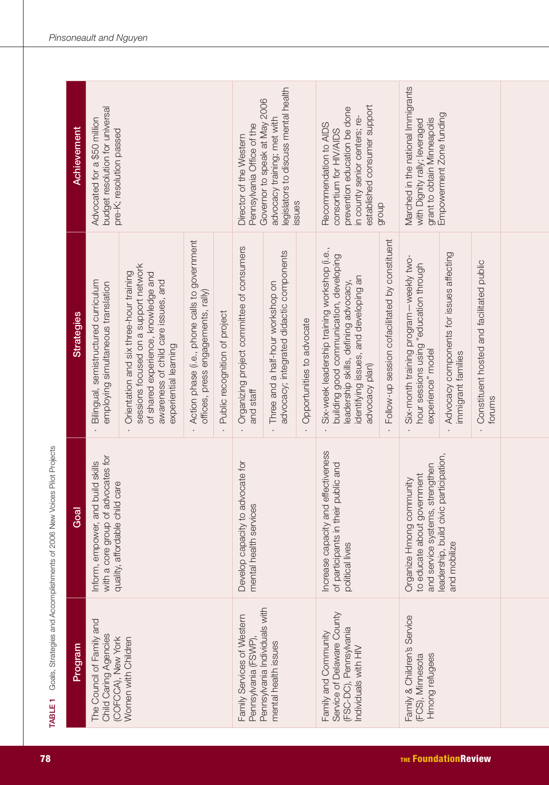| Achievement       | budget resolution for universal<br>Advocated for a \$50 million<br>pre-K; resolution passed                   |                                                                                                                                                                                         |                                                                                     | legislators to discuss mental health<br>Governor to speak at May 2006<br>advocacy training; met with<br>Pennsylvania Office of the<br>Director of the Western<br>issues |                                                                                                            | established consumer support<br>prevention education be done<br>in county senior centers; re-<br>Recommendation to AIDS<br>consortium for HIV/AIDS<br>dhoub |                                                                                                                                                      | Marched in the national Immigrants<br>Empowerment Zone funding<br>grant to obtain Minneapolis<br>with Dignity rally; leveraged                                                              |                                                                   |                                                                                                          |                                                                |                                                     |
|-------------------|---------------------------------------------------------------------------------------------------------------|-----------------------------------------------------------------------------------------------------------------------------------------------------------------------------------------|-------------------------------------------------------------------------------------|-------------------------------------------------------------------------------------------------------------------------------------------------------------------------|------------------------------------------------------------------------------------------------------------|-------------------------------------------------------------------------------------------------------------------------------------------------------------|------------------------------------------------------------------------------------------------------------------------------------------------------|---------------------------------------------------------------------------------------------------------------------------------------------------------------------------------------------|-------------------------------------------------------------------|----------------------------------------------------------------------------------------------------------|----------------------------------------------------------------|-----------------------------------------------------|
| <b>Strategies</b> | Bilingual, semistructured curriculum<br>employing simultaneous translation                                    | sessions focused on a support network<br>Orientation and six three-hour training<br>of shared experience, knowledge and<br>awareness of child care issues, and<br>experiential learning | Action phase (i.e., phone calls to government<br>offices, press engagements, rally) | Public recognition of project                                                                                                                                           | Organizing project committee of consumers<br>and staff                                                     | advocacy; integrated didactic components<br>Three and a half-hour workshop on                                                                               | Opportunities to advocate                                                                                                                            | Six-week leadership training workshop (i.e.,<br>building good communication, developing<br>identifying issues, and developing an<br>leadership skills, defining advocacy,<br>advocacy plan) | Follow-up session cofacilitated by constituent                    | Six-month training program -- weekly two-<br>hour sessions using "education through<br>experience" model | Advocacy components for issues affecting<br>immigrant families | Constituent hosted and facilitated public<br>forums |
| Goal              | with a core group of advocates for<br>Inform, empower, and build skills<br>quality, affordable child care     |                                                                                                                                                                                         | Develop capacity to advocate for<br>mental health services                          |                                                                                                                                                                         | Increase capacity and effectiveness<br>of participants in their public and<br>political lives              |                                                                                                                                                             | leadership, build civic participation,<br>and service systems, strengthen<br>to educate about government<br>Organize Hmong community<br>and mobilize |                                                                                                                                                                                             |                                                                   |                                                                                                          |                                                                |                                                     |
| <b>Program</b>    | The Council of Family and<br><b>Child Caring Agencies</b><br>(COFCCA), New York<br><b>Nomen with Children</b> |                                                                                                                                                                                         |                                                                                     |                                                                                                                                                                         | Pennsylvania Individuals with<br>Family Services of Western<br>Pennsylvania (FSWP)<br>mental health issues |                                                                                                                                                             | Service of Delaware County<br>(FSC-DC), Pennsylvania<br>Family and Community<br>Individuals with HIV                                                 |                                                                                                                                                                                             | Family & Children's Service<br>Hmong refugees<br>(FCS), Minnesota |                                                                                                          |                                                                |                                                     |

TABLE 1 Goals, Strategies and Accomplishments of 2006 New Voices Pilot Projects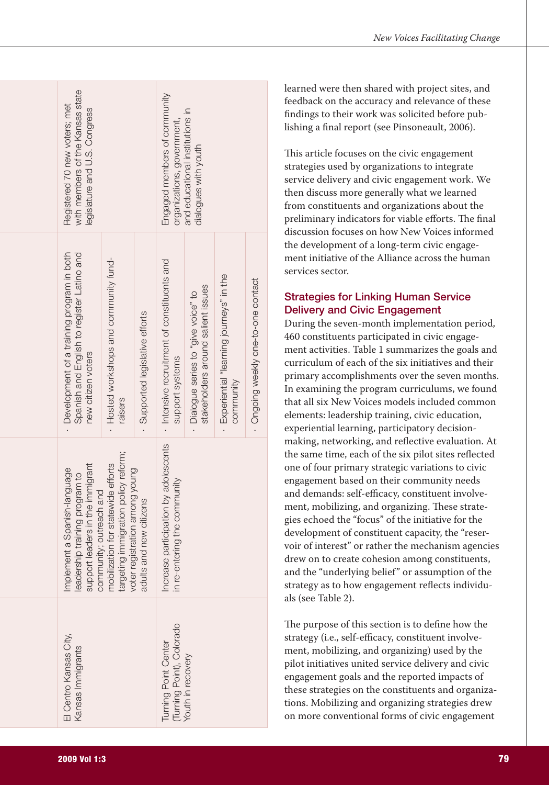| with members of the Kansas state<br>Registered 70 new voters; met<br>legislature and U.S. Congress                            | Engaged members of community<br>and educational institutions in<br>organizations, government,<br>dialogues with youth |                               |                                                                     |                                                                            |                                                        |                                     |
|-------------------------------------------------------------------------------------------------------------------------------|-----------------------------------------------------------------------------------------------------------------------|-------------------------------|---------------------------------------------------------------------|----------------------------------------------------------------------------|--------------------------------------------------------|-------------------------------------|
| - Development of a training program in both<br>Spanish and English to register Latino and<br>new citizen voters               | - Hosted workshops and community fund-<br>raisers                                                                     | Supported legislative efforts | - Intensive recruitment of constituents and<br>support systems      | stakeholders around salient issues<br>. Dialopue series to "give voice" to | - Experiential "learning journeys" in the<br>community | · Ongoing weekly one-to-one contact |
| support leaders in the immigrant<br>Implement a Spanish-language<br>leadership training program to<br>community; outreach and | targeting immigration policy reform;<br>mobilization for statewide efforts<br>registration among young<br>voter       | adults and new citizens       | ncrease participation by adolescents<br>n re-entering the community |                                                                            |                                                        |                                     |
| El Centro Kansas City,<br>cansas Immigrants                                                                                   | Turning Point Center<br>Turning Point), Colorado<br>/outh in recovery                                                 |                               |                                                                     |                                                                            |                                                        |                                     |

learned were then shared with project sites, and feedback on the accuracy and relevance of these findings to their work was solicited before publishing a final report (see Pinsoneault, 2006).

This article focuses on the civic engagement strategies used by organizations to integrate service delivery and civic engagement work. We then discuss more generally what we learned from constituents and organizations about the preliminary indicators for viable efforts. The final discussion focuses on how New Voices informed the development of a long-term civic engagement initiative of the Alliance across the human services sector.

# **Strategies for Linking Human Service Delivery and Civic Engagement**

During the seven-month implementation period, 460 constituents participated in civic engagement activities. Table 1 summarizes the goals and curriculum of each of the six initiatives and their primary accomplishments over the seven months. In examining the program curriculums, we found that all six New Voices models included common elements: leadership training, civic education, experiential learning, participatory decisionmaking, networking, and reflective evaluation. At the same time, each of the six pilot sites reflected one of four primary strategic variations to civic engagement based on their community needs and demands: self-efficacy, constituent involvement, mobilizing, and organizing. These strategies echoed the "focus" of the initiative for the development of constituent capacity, the "reservoir of interest" or rather the mechanism agencies drew on to create cohesion among constituents, and the "underlying belief" or assumption of the strategy as to how engagement reflects individuals (see Table 2).

The purpose of this section is to define how the strategy (i.e., self-efficacy, constituent involvement, mobilizing, and organizing) used by the pilot initiatives united service delivery and civic engagement goals and the reported impacts of these strategies on the constituents and organizations. Mobilizing and organizing strategies drew on more conventional forms of civic engagement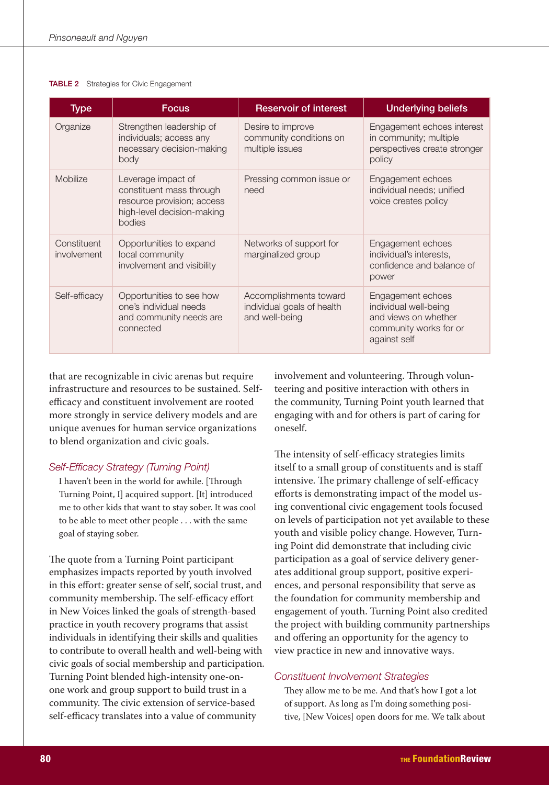#### **TABLE 2** Strategies for Civic Engagement

| Type                              | <b>Focus</b>                                                                                                         | <b>Reservoir of interest</b>                                           | <b>Underlying beliefs</b>                                                                                    |
|-----------------------------------|----------------------------------------------------------------------------------------------------------------------|------------------------------------------------------------------------|--------------------------------------------------------------------------------------------------------------|
| Organize                          | Strengthen leadership of<br>individuals; access any<br>necessary decision-making<br>body                             | Desire to improve<br>community conditions on<br>multiple issues        | Engagement echoes interest<br>in community; multiple<br>perspectives create stronger<br>policy               |
| <b>Mobilize</b>                   | Leverage impact of<br>constituent mass through<br>resource provision; access<br>high-level decision-making<br>bodies | Pressing common issue or<br>need                                       | Engagement echoes<br>individual needs; unified<br>voice creates policy                                       |
| Constituent<br><i>involvement</i> | Opportunities to expand<br>local community<br>involvement and visibility                                             | Networks of support for<br>marginalized group                          | Engagement echoes<br>individual's interests,<br>confidence and balance of<br>power                           |
| Self-efficacy                     | Opportunities to see how<br>one's individual needs<br>and community needs are<br>connected                           | Accomplishments toward<br>individual goals of health<br>and well-being | Engagement echoes<br>individual well-being<br>and views on whether<br>community works for or<br>against self |

that are recognizable in civic arenas but require infrastructure and resources to be sustained. Selfefficacy and constituent involvement are rooted more strongly in service delivery models and are unique avenues for human service organizations to blend organization and civic goals.

#### Self-Efficacy Strategy (Turning Point)

I haven't been in the world for awhile. [Through Turning Point, I] acquired support. [It] introduced me to other kids that want to stay sober. It was cool to be able to meet other people . . . with the same goal of staying sober.

The quote from a Turning Point participant emphasizes impacts reported by youth involved in this effort: greater sense of self, social trust, and community membership. The self-efficacy effort in New Voices linked the goals of strength-based practice in youth recovery programs that assist individuals in identifying their skills and qualities to contribute to overall health and well-being with civic goals of social membership and participation. Turning Point blended high-intensity one-onone work and group support to build trust in a community. The civic extension of service-based self-efficacy translates into a value of community

involvement and volunteering. Through volunteering and positive interaction with others in the community, Turning Point youth learned that engaging with and for others is part of caring for oneself.

The intensity of self-efficacy strategies limits itself to a small group of constituents and is staff intensive. The primary challenge of self-efficacy efforts is demonstrating impact of the model using conventional civic engagement tools focused on levels of participation not yet available to these youth and visible policy change. However, Turning Point did demonstrate that including civic participation as a goal of service delivery generates additional group support, positive experiences, and personal responsibility that serve as the foundation for community membership and engagement of youth. Turning Point also credited the project with building community partnerships and offering an opportunity for the agency to view practice in new and innovative ways.

#### **Constituent Involvement Strategies**

They allow me to be me. And that's how I got a lot of support. As long as I'm doing something positive, [New Voices] open doors for me. We talk about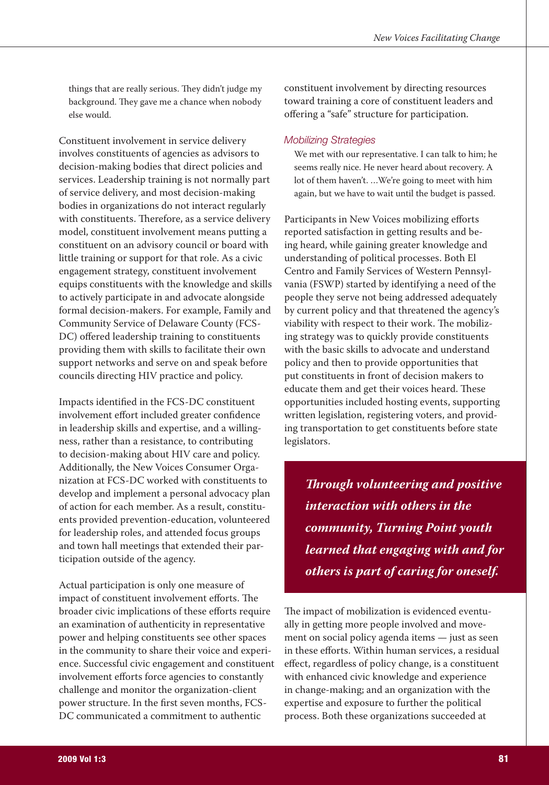things that are really serious. They didn't judge my background. They gave me a chance when nobody else would.

Constituent involvement in service delivery involves constituents of agencies as advisors to decision-making bodies that direct policies and services. Leadership training is not normally part of service delivery, and most decision-making bodies in organizations do not interact regularly with constituents. Therefore, as a service delivery model, constituent involvement means putting a constituent on an advisory council or board with little training or support for that role. As a civic engagement strategy, constituent involvement equips constituents with the knowledge and skills to actively participate in and advocate alongside formal decision-makers. For example, Family and Community Service of Delaware County (FCS-DC) offered leadership training to constituents providing them with skills to facilitate their own support networks and serve on and speak before councils directing HIV practice and policy.

Impacts identified in the FCS-DC constituent involvement effort included greater confidence in leadership skills and expertise, and a willingness, rather than a resistance, to contributing to decision-making about HIV care and policy. Additionally, the New Voices Consumer Organization at FCS-DC worked with constituents to develop and implement a personal advocacy plan of action for each member. As a result, constituents provided prevention-education, volunteered for leadership roles, and attended focus groups and town hall meetings that extended their participation outside of the agency.

Actual participation is only one measure of impact of constituent involvement efforts. The broader civic implications of these efforts require an examination of authenticity in representative power and helping constituents see other spaces in the community to share their voice and experience. Successful civic engagement and constituent involvement efforts force agencies to constantly challenge and monitor the organization-client power structure. In the first seven months, FCS-DC communicated a commitment to authentic

constituent involvement by directing resources toward training a core of constituent leaders and offering a "safe" structure for participation.

#### **Mobilizing Strategies**

We met with our representative. I can talk to him; he seems really nice. He never heard about recovery. A lot of them haven't. ...We're going to meet with him again, but we have to wait until the budget is passed.

Participants in New Voices mobilizing efforts reported satisfaction in getting results and being heard, while gaining greater knowledge and understanding of political processes. Both El Centro and Family Services of Western Pennsylvania (FSWP) started by identifying a need of the people they serve not being addressed adequately by current policy and that threatened the agency's viability with respect to their work. The mobilizing strategy was to quickly provide constituents with the basic skills to advocate and understand policy and then to provide opportunities that put constituents in front of decision makers to educate them and get their voices heard. These opportunities included hosting events, supporting written legislation, registering voters, and providing transportation to get constituents before state legislators.

**Through volunteering and positive** interaction with others in the community, Turning Point youth learned that engaging with and for others is part of caring for oneself.

The impact of mobilization is evidenced eventually in getting more people involved and movement on social policy agenda items — just as seen in these efforts. Within human services, a residual effect, regardless of policy change, is a constituent with enhanced civic knowledge and experience in change-making; and an organization with the expertise and exposure to further the political process. Both these organizations succeeded at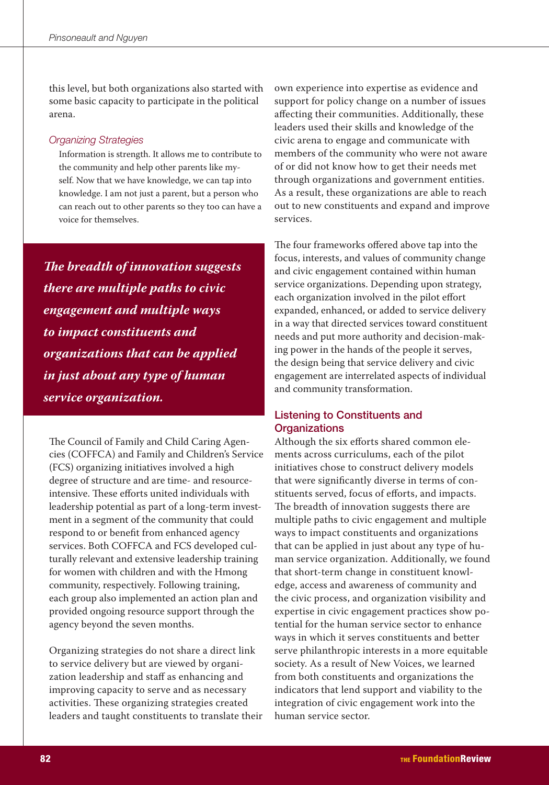this level, but both organizations also started with some basic capacity to participate in the political arena.

#### **Organizing Strategies**

Information is strength. It allows me to contribute to the community and help other parents like myself. Now that we have knowledge, we can tap into knowledge. I am not just a parent, but a person who can reach out to other parents so they too can have a voice for themselves.

The breadth of innovation suggests there are multiple paths to civic engagement and multiple ways to impact constituents and organizations that can be applied in just about any type of human service organization.

The Council of Family and Child Caring Agencies (COFFCA) and Family and Children's Service (FCS) organizing initiatives involved a high degree of structure and are time- and resourceintensive. These efforts united individuals with leadership potential as part of a long-term investment in a segment of the community that could respond to or benefit from enhanced agency services. Both COFFCA and FCS developed culturally relevant and extensive leadership training for women with children and with the Hmong community, respectively. Following training, each group also implemented an action plan and provided ongoing resource support through the agency beyond the seven months.

Organizing strategies do not share a direct link to service delivery but are viewed by organization leadership and staff as enhancing and improving capacity to serve and as necessary activities. These organizing strategies created leaders and taught constituents to translate their own experience into expertise as evidence and support for policy change on a number of issues affecting their communities. Additionally, these leaders used their skills and knowledge of the civic arena to engage and communicate with members of the community who were not aware of or did not know how to get their needs met through organizations and government entities. As a result, these organizations are able to reach out to new constituents and expand and improve services.

The four frameworks offered above tap into the focus, interests, and values of community change and civic engagement contained within human service organizations. Depending upon strategy, each organization involved in the pilot effort expanded, enhanced, or added to service delivery in a way that directed services toward constituent needs and put more authority and decision-making power in the hands of the people it serves, the design being that service delivery and civic engagement are interrelated aspects of individual and community transformation.

# **Listening to Constituents and Organizations**

Although the six efforts shared common elements across curriculums, each of the pilot initiatives chose to construct delivery models that were significantly diverse in terms of constituents served, focus of efforts, and impacts. The breadth of innovation suggests there are multiple paths to civic engagement and multiple ways to impact constituents and organizations that can be applied in just about any type of human service organization. Additionally, we found that short-term change in constituent knowledge, access and awareness of community and the civic process, and organization visibility and expertise in civic engagement practices show potential for the human service sector to enhance ways in which it serves constituents and better serve philanthropic interests in a more equitable society. As a result of New Voices, we learned from both constituents and organizations the indicators that lend support and viability to the integration of civic engagement work into the human service sector.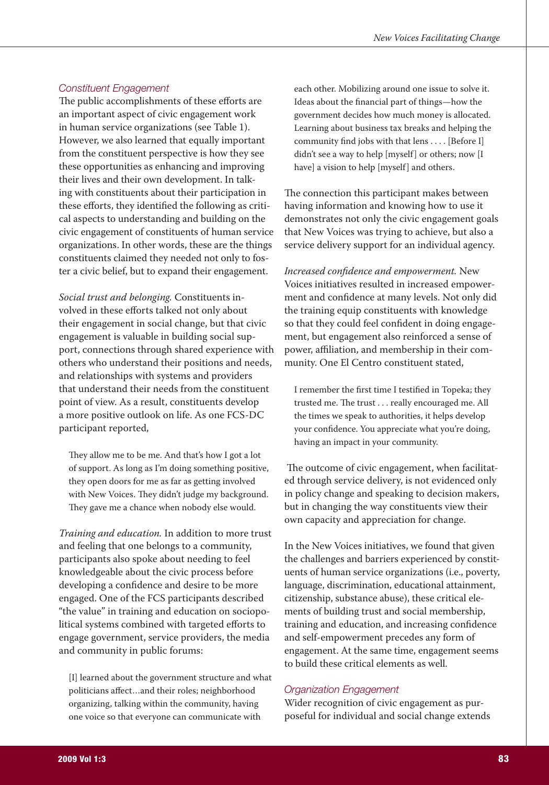### **Constituent Engagement**

The public accomplishments of these efforts are an important aspect of civic engagement work in human service organizations (see Table 1). However, we also learned that equally important from the constituent perspective is how they see these opportunities as enhancing and improving their lives and their own development. In talking with constituents about their participation in these efforts, they identified the following as critical aspects to understanding and building on the civic engagement of constituents of human service organizations. In other words, these are the things constituents claimed they needed not only to foster a civic belief, but to expand their engagement.

Social trust and belonging. Constituents involved in these efforts talked not only about their engagement in social change, but that civic engagement is valuable in building social support, connections through shared experience with others who understand their positions and needs, and relationships with systems and providers that understand their needs from the constituent point of view. As a result, constituents develop a more positive outlook on life. As one FCS-DC participant reported,

They allow me to be me. And that's how I got a lot of support. As long as I'm doing something positive, they open doors for me as far as getting involved with New Voices. They didn't judge my background. They gave me a chance when nobody else would.

Training and education. In addition to more trust and feeling that one belongs to a community, participants also spoke about needing to feel knowledgeable about the civic process before developing a confidence and desire to be more engaged. One of the FCS participants described "the value" in training and education on sociopolitical systems combined with targeted efforts to engage government, service providers, the media and community in public forums:

[I] learned about the government structure and what politicians affect...and their roles; neighborhood organizing, talking within the community, having one voice so that everyone can communicate with

each other. Mobilizing around one issue to solve it. Ideas about the financial part of things-how the government decides how much money is allocated. Learning about business tax breaks and helping the community find jobs with that lens . . . . [Before I] didn't see a way to help [myself] or others; now [I have] a vision to help [myself] and others.

The connection this participant makes between having information and knowing how to use it demonstrates not only the civic engagement goals that New Voices was trying to achieve, but also a service delivery support for an individual agency.

Increased confidence and empowerment. New Voices initiatives resulted in increased empowerment and confidence at many levels. Not only did the training equip constituents with knowledge so that they could feel confident in doing engagement, but engagement also reinforced a sense of power, affiliation, and membership in their community. One El Centro constituent stated,

I remember the first time I testified in Topeka; they trusted me. The trust . . . really encouraged me. All the times we speak to authorities, it helps develop your confidence. You appreciate what you're doing, having an impact in your community.

The outcome of civic engagement, when facilitated through service delivery, is not evidenced only in policy change and speaking to decision makers, but in changing the way constituents view their own capacity and appreciation for change.

In the New Voices initiatives, we found that given the challenges and barriers experienced by constituents of human service organizations (*i.e.*, poverty, language, discrimination, educational attainment, citizenship, substance abuse), these critical elements of building trust and social membership, training and education, and increasing confidence and self-empowerment precedes any form of engagement. At the same time, engagement seems to build these critical elements as well

# **Organization Engagement**

Wider recognition of civic engagement as purposeful for individual and social change extends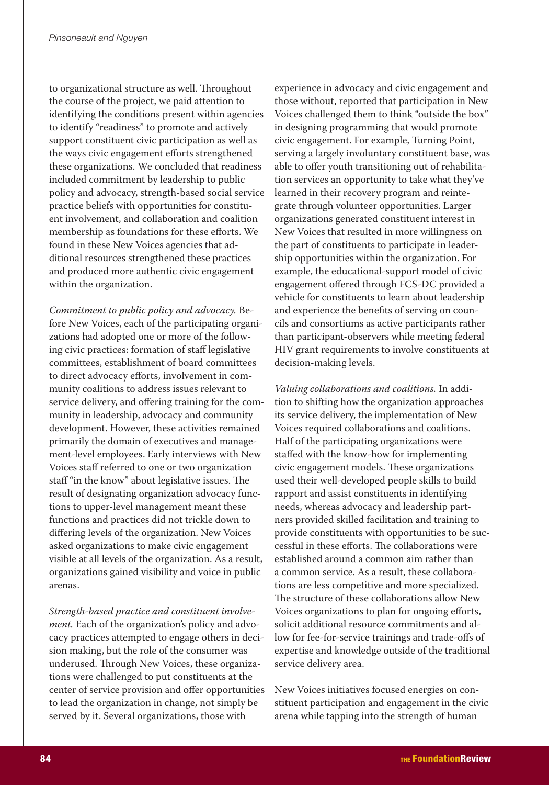to organizational structure as well. Throughout the course of the project, we paid attention to identifying the conditions present within agencies to identify "readiness" to promote and actively support constituent civic participation as well as the ways civic engagement efforts strengthened these organizations. We concluded that readiness included commitment by leadership to public policy and advocacy, strength-based social service practice beliefs with opportunities for constituent involvement, and collaboration and coalition membership as foundations for these efforts. We found in these New Voices agencies that additional resources strengthened these practices and produced more authentic civic engagement within the organization.

Commitment to public policy and advocacy. Before New Voices, each of the participating organizations had adopted one or more of the following civic practices: formation of staff legislative committees, establishment of board committees to direct advocacy efforts, involvement in community coalitions to address issues relevant to service delivery, and offering training for the community in leadership, advocacy and community development. However, these activities remained primarily the domain of executives and management-level employees. Early interviews with New Voices staff referred to one or two organization staff "in the know" about legislative issues. The result of designating organization advocacy functions to upper-level management meant these functions and practices did not trickle down to differing levels of the organization. New Voices asked organizations to make civic engagement visible at all levels of the organization. As a result, organizations gained visibility and voice in public arenas.

Strength-based practice and constituent involvement. Each of the organization's policy and advocacy practices attempted to engage others in decision making, but the role of the consumer was underused. Through New Voices, these organizations were challenged to put constituents at the center of service provision and offer opportunities to lead the organization in change, not simply be served by it. Several organizations, those with

experience in advocacy and civic engagement and those without, reported that participation in New Voices challenged them to think "outside the box" in designing programming that would promote civic engagement. For example, Turning Point, serving a largely involuntary constituent base, was able to offer youth transitioning out of rehabilitation services an opportunity to take what they've learned in their recovery program and reintegrate through volunteer opportunities. Larger organizations generated constituent interest in New Voices that resulted in more willingness on the part of constituents to participate in leadership opportunities within the organization. For example, the educational-support model of civic engagement offered through FCS-DC provided a vehicle for constituents to learn about leadership and experience the benefits of serving on councils and consortiums as active participants rather than participant-observers while meeting federal HIV grant requirements to involve constituents at decision-making levels.

Valuing collaborations and coalitions. In addition to shifting how the organization approaches its service delivery, the implementation of New Voices required collaborations and coalitions. Half of the participating organizations were staffed with the know-how for implementing civic engagement models. These organizations used their well-developed people skills to build rapport and assist constituents in identifying needs, whereas advocacy and leadership partners provided skilled facilitation and training to provide constituents with opportunities to be successful in these efforts. The collaborations were established around a common aim rather than a common service. As a result, these collaborations are less competitive and more specialized. The structure of these collaborations allow New Voices organizations to plan for ongoing efforts, solicit additional resource commitments and allow for fee-for-service trainings and trade-offs of expertise and knowledge outside of the traditional service delivery area.

New Voices initiatives focused energies on constituent participation and engagement in the civic arena while tapping into the strength of human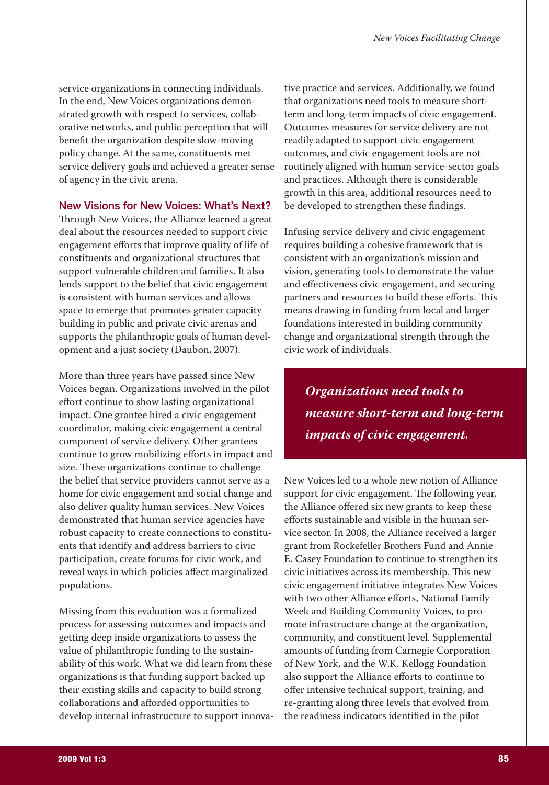service organizations in connecting individuals. In the end, New Voices organizations demonstrated growth with respect to services, collaborative networks, and public perception that will benefit the organization despite slow-moving policy change. At the same, constituents met service delivery goals and achieved a greater sense of agency in the civic arena.

## **New Visions for New Voices: What's Next?**

Through New Voices, the Alliance learned a great deal about the resources needed to support civic engagement efforts that improve quality of life of constituents and organizational structures that support vulnerable children and families. It also lends support to the belief that civic engagement is consistent with human services and allows space to emerge that promotes greater capacity building in public and private civic arenas and supports the philanthropic goals of human development and a just society (Daubon, 2007).

More than three years have passed since New Voices began. Organizations involved in the pilot effort continue to show lasting organizational impact. One grantee hired a civic engagement coordinator, making civic engagement a central component of service delivery. Other grantees continue to grow mobilizing efforts in impact and size. These organizations continue to challenge the belief that service providers cannot serve as a home for civic engagement and social change and also deliver quality human services. New Voices demonstrated that human service agencies have robust capacity to create connections to constituents that identify and address barriers to civic participation, create forums for civic work, and reveal ways in which policies affect marginalized populations.

Missing from this evaluation was a formalized process for assessing outcomes and impacts and getting deep inside organizations to assess the value of philanthropic funding to the sustainability of this work. What we did learn from these organizations is that funding support backed up their existing skills and capacity to build strong collaborations and afforded opportunities to develop internal infrastructure to support innovative practice and services. Additionally, we found that organizations need tools to measure shortterm and long-term impacts of civic engagement. Outcomes measures for service delivery are not readily adapted to support civic engagement outcomes, and civic engagement tools are not routinely aligned with human service-sector goals and practices. Although there is considerable growth in this area, additional resources need to be developed to strengthen these findings.

Infusing service delivery and civic engagement requires building a cohesive framework that is consistent with an organization's mission and vision, generating tools to demonstrate the value and effectiveness civic engagement, and securing partners and resources to build these efforts. This means drawing in funding from local and larger foundations interested in building community change and organizational strength through the civic work of individuals.

Organizations need tools to measure short-term and long-term impacts of civic engagement.

New Voices led to a whole new notion of Alliance support for civic engagement. The following year, the Alliance offered six new grants to keep these efforts sustainable and visible in the human service sector. In 2008, the Alliance received a larger grant from Rockefeller Brothers Fund and Annie E. Casey Foundation to continue to strengthen its civic initiatives across its membership. This new civic engagement initiative integrates New Voices with two other Alliance efforts, National Family Week and Building Community Voices, to promote infrastructure change at the organization, community, and constituent level. Supplemental amounts of funding from Carnegie Corporation of New York, and the W.K. Kellogg Foundation also support the Alliance efforts to continue to offer intensive technical support, training, and re-granting along three levels that evolved from the readiness indicators identified in the pilot